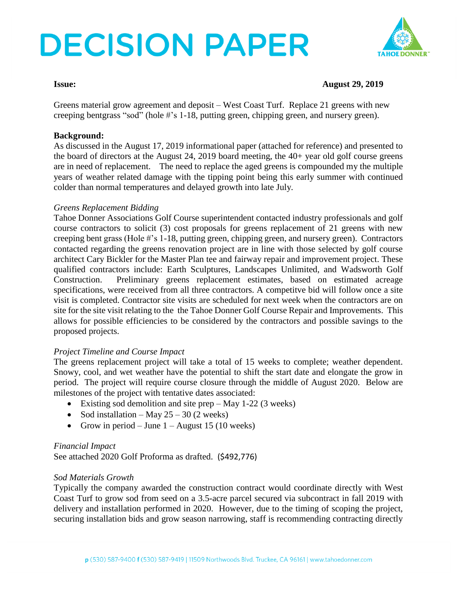# **DECISION PAPER**



### **Issue: August 29, 2019**

Greens material grow agreement and deposit – West Coast Turf. Replace 21 greens with new creeping bentgrass "sod" (hole #'s 1-18, putting green, chipping green, and nursery green).

#### **Background:**

As discussed in the August 17, 2019 informational paper (attached for reference) and presented to the board of directors at the August 24, 2019 board meeting, the 40+ year old golf course greens are in need of replacement. The need to replace the aged greens is compounded my the multiple years of weather related damage with the tipping point being this early summer with continued colder than normal temperatures and delayed growth into late July.

#### *Greens Replacement Bidding*

Tahoe Donner Associations Golf Course superintendent contacted industry professionals and golf course contractors to solicit (3) cost proposals for greens replacement of 21 greens with new creeping bent grass (Hole #'s 1-18, putting green, chipping green, and nursery green). Contractors contacted regarding the greens renovation project are in line with those selected by golf course architect Cary Bickler for the Master Plan tee and fairway repair and improvement project. These qualified contractors include: Earth Sculptures, Landscapes Unlimited, and Wadsworth Golf Construction. Preliminary greens replacement estimates, based on estimated acreage specifications, were received from all three contractors. A competitve bid will follow once a site visit is completed. Contractor site visits are scheduled for next week when the contractors are on site for the site visit relating to the the Tahoe Donner Golf Course Repair and Improvements. This allows for possible efficiencies to be considered by the contractors and possible savings to the proposed projects.

### *Project Timeline and Course Impact*

The greens replacement project will take a total of 15 weeks to complete; weather dependent. Snowy, cool, and wet weather have the potential to shift the start date and elongate the grow in period. The project will require course closure through the middle of August 2020. Below are milestones of the project with tentative dates associated:

- Existing sod demolition and site prep May 1-22 (3 weeks)
- Sod installation May  $25 30$  (2 weeks)
- Grow in period June  $1 -$ August 15 (10 weeks)

### *Financial Impact*

See attached 2020 Golf Proforma as drafted. (\$492,776)

#### *Sod Materials Growth*

Typically the company awarded the construction contract would coordinate directly with West Coast Turf to grow sod from seed on a 3.5-acre parcel secured via subcontract in fall 2019 with delivery and installation performed in 2020. However, due to the timing of scoping the project, securing installation bids and grow season narrowing, staff is recommending contracting directly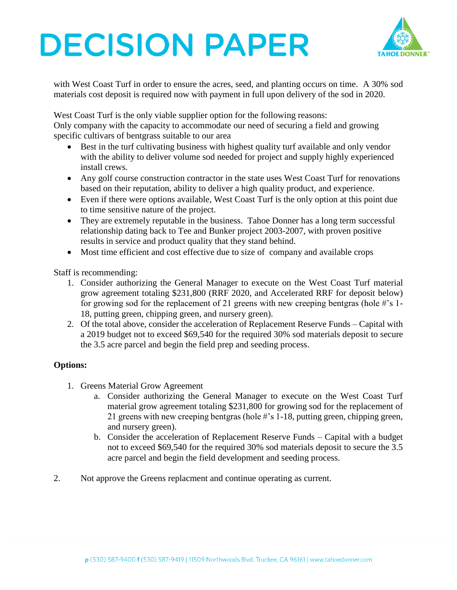# **DECISION PAPER**



with West Coast Turf in order to ensure the acres, seed, and planting occurs on time. A 30% sod materials cost deposit is required now with payment in full upon delivery of the sod in 2020.

West Coast Turf is the only viable supplier option for the following reasons:

Only company with the capacity to accommodate our need of securing a field and growing specific cultivars of bentgrass suitable to our area

- Best in the turf cultivating business with highest quality turf available and only vendor with the ability to deliver volume sod needed for project and supply highly experienced install crews.
- Any golf course construction contractor in the state uses West Coast Turf for renovations based on their reputation, ability to deliver a high quality product, and experience.
- Even if there were options available, West Coast Turf is the only option at this point due to time sensitive nature of the project.
- They are extremely reputable in the business. Tahoe Donner has a long term successful relationship dating back to Tee and Bunker project 2003-2007, with proven positive results in service and product quality that they stand behind.
- Most time efficient and cost effective due to size of company and available crops

Staff is recommending:

- 1. Consider authorizing the General Manager to execute on the West Coast Turf material grow agreement totaling \$231,800 (RRF 2020, and Accelerated RRF for deposit below) for growing sod for the replacement of 21 greens with new creeping bentgras (hole  $\#$ 's 1-18, putting green, chipping green, and nursery green).
- 2. Of the total above, consider the acceleration of Replacement Reserve Funds Capital with a 2019 budget not to exceed \$69,540 for the required 30% sod materials deposit to secure the 3.5 acre parcel and begin the field prep and seeding process.

### **Options:**

- 1. Greens Material Grow Agreement
	- a. Consider authorizing the General Manager to execute on the West Coast Turf material grow agreement totaling \$231,800 for growing sod for the replacement of 21 greens with new creeping bentgras (hole #'s 1-18, putting green, chipping green, and nursery green).
	- b. Consider the acceleration of Replacement Reserve Funds Capital with a budget not to exceed \$69,540 for the required 30% sod materials deposit to secure the 3.5 acre parcel and begin the field development and seeding process.
- 2. Not approve the Greens replacment and continue operating as current.